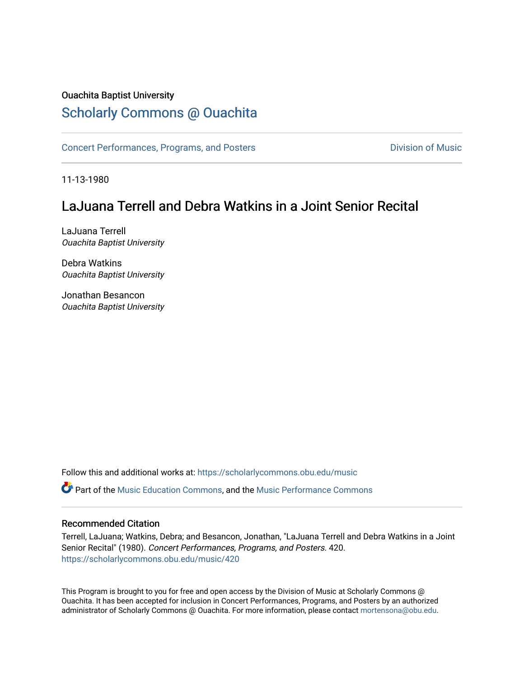### Ouachita Baptist University

### [Scholarly Commons @ Ouachita](https://scholarlycommons.obu.edu/)

[Concert Performances, Programs, and Posters](https://scholarlycommons.obu.edu/music) **Division of Music** Division of Music

11-13-1980

## LaJuana Terrell and Debra Watkins in a Joint Senior Recital

LaJuana Terrell Ouachita Baptist University

Debra Watkins Ouachita Baptist University

Jonathan Besancon Ouachita Baptist University

Follow this and additional works at: [https://scholarlycommons.obu.edu/music](https://scholarlycommons.obu.edu/music?utm_source=scholarlycommons.obu.edu%2Fmusic%2F420&utm_medium=PDF&utm_campaign=PDFCoverPages) 

**C** Part of the [Music Education Commons,](http://network.bepress.com/hgg/discipline/1246?utm_source=scholarlycommons.obu.edu%2Fmusic%2F420&utm_medium=PDF&utm_campaign=PDFCoverPages) and the Music Performance Commons

#### Recommended Citation

Terrell, LaJuana; Watkins, Debra; and Besancon, Jonathan, "LaJuana Terrell and Debra Watkins in a Joint Senior Recital" (1980). Concert Performances, Programs, and Posters. 420. [https://scholarlycommons.obu.edu/music/420](https://scholarlycommons.obu.edu/music/420?utm_source=scholarlycommons.obu.edu%2Fmusic%2F420&utm_medium=PDF&utm_campaign=PDFCoverPages) 

This Program is brought to you for free and open access by the Division of Music at Scholarly Commons @ Ouachita. It has been accepted for inclusion in Concert Performances, Programs, and Posters by an authorized administrator of Scholarly Commons @ Ouachita. For more information, please contact [mortensona@obu.edu](mailto:mortensona@obu.edu).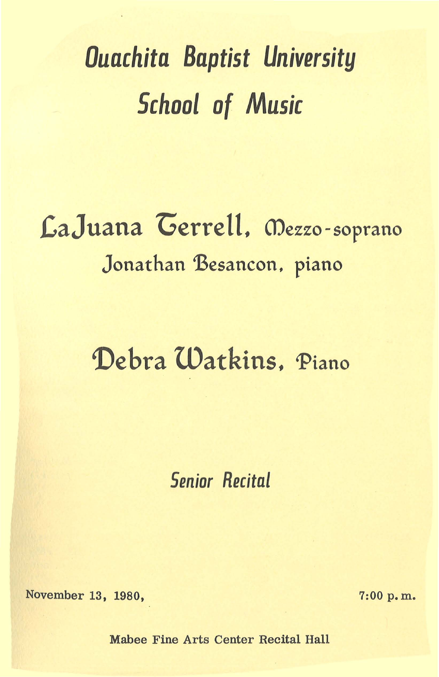# *Ouachita Baptist University Schaal of Music*

# .LaJuana 'Gerrell. mezzo-soprano Jonathan Besancon, piano

# Debra Watkins. Piano

*Senior Recital* 

November 13, 1980, 7:00 p.m.

Mabee Fine Arts Center Recital Hall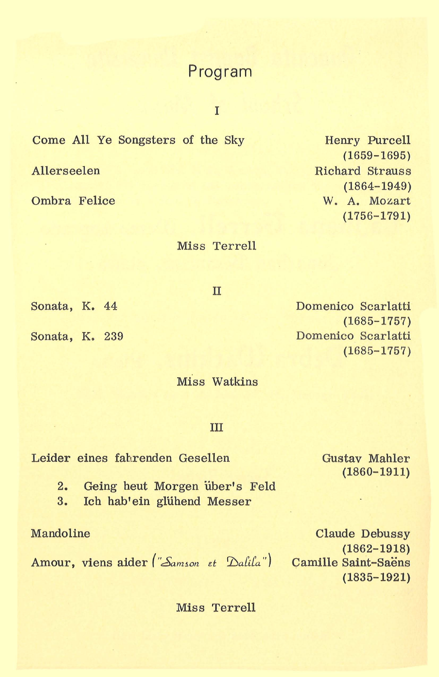### Program

I

Come All Ye Songsters of the Sky

Allerseelen

Ombra Felice

Henry Purcell (1659-1695) Richard Strauss (1864-1949) W. A. Mozart (1756-1791)

Miss Terrell

II

Sonata, K. 44

Sonata, K. 239

(1685-1757) Domenico Scarlatti (1685-1757)

Domenico Scarlatti

Miss Watkins

#### III

Leider eines fahrenden Gesellen

2. Geing heut Morgen über's Feld

3. Ich hab'ein glühend Messer

Mandoline

Amour, viens aider *("Samson et Dalila")* 

Gustav Mahler (1860-1911)

Claude Debussy (1862-1918) Camille Saint-Saens (1835-1921)

Miss Terrell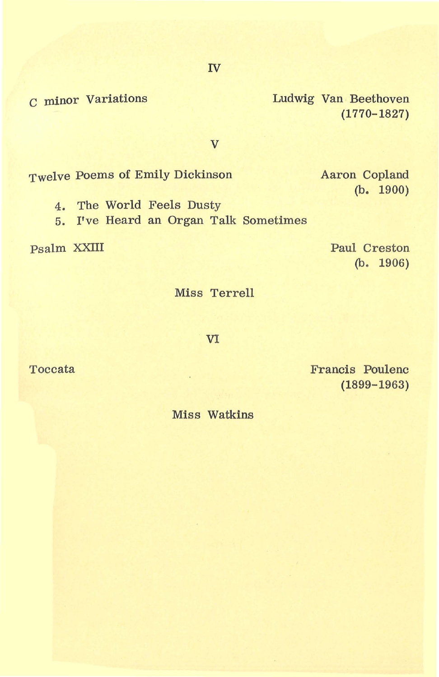IV

c minor Variations

Ludwig Van Beethoven (1770-1827)

v

Twelve Poems of Emily Dickinson

4. The World Feels Dusty

5. I've Heard an Organ Talk Sometimes

Psalm XXIII

Paul Creston (b. 1906)

Aaron Copland

(b. 1900)

Miss Terrell

VI

Toccata

Francis Poulenc (1899-1963)

Miss Watkins